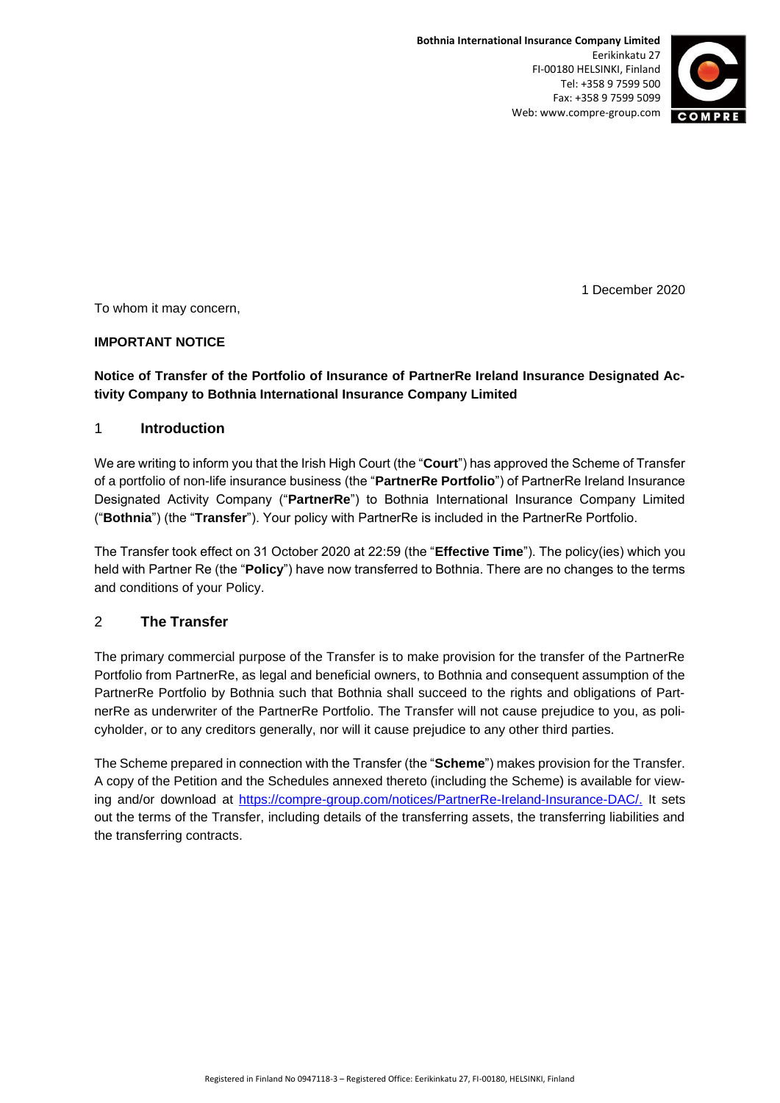

1 December 2020

To whom it may concern,

### **IMPORTANT NOTICE**

# **Notice of Transfer of the Portfolio of Insurance of PartnerRe Ireland Insurance Designated Activity Company to Bothnia International Insurance Company Limited**

### 1 **Introduction**

We are writing to inform you that the Irish High Court (the "**Court**") has approved the Scheme of Transfer of a portfolio of non-life insurance business (the "**PartnerRe Portfolio**") of PartnerRe Ireland Insurance Designated Activity Company ("**PartnerRe**") to Bothnia International Insurance Company Limited ("**Bothnia**") (the "**Transfer**"). Your policy with PartnerRe is included in the PartnerRe Portfolio.

The Transfer took effect on 31 October 2020 at 22:59 (the "**Effective Time**"). The policy(ies) which you held with Partner Re (the "**Policy**") have now transferred to Bothnia. There are no changes to the terms and conditions of your Policy.

# 2 **The Transfer**

The primary commercial purpose of the Transfer is to make provision for the transfer of the PartnerRe Portfolio from PartnerRe, as legal and beneficial owners, to Bothnia and consequent assumption of the PartnerRe Portfolio by Bothnia such that Bothnia shall succeed to the rights and obligations of PartnerRe as underwriter of the PartnerRe Portfolio. The Transfer will not cause prejudice to you, as policyholder, or to any creditors generally, nor will it cause prejudice to any other third parties.

The Scheme prepared in connection with the Transfer (the "**Scheme**") makes provision for the Transfer. A copy of the Petition and the Schedules annexed thereto (including the Scheme) is available for viewing and/or download at [https://compre-group.com/notices/PartnerRe-Ireland-Insurance-DAC/.](https://compre-group.com/notices/PartnerRe-Ireland-Insurance-DAC/) It sets out the terms of the Transfer, including details of the transferring assets, the transferring liabilities and the transferring contracts.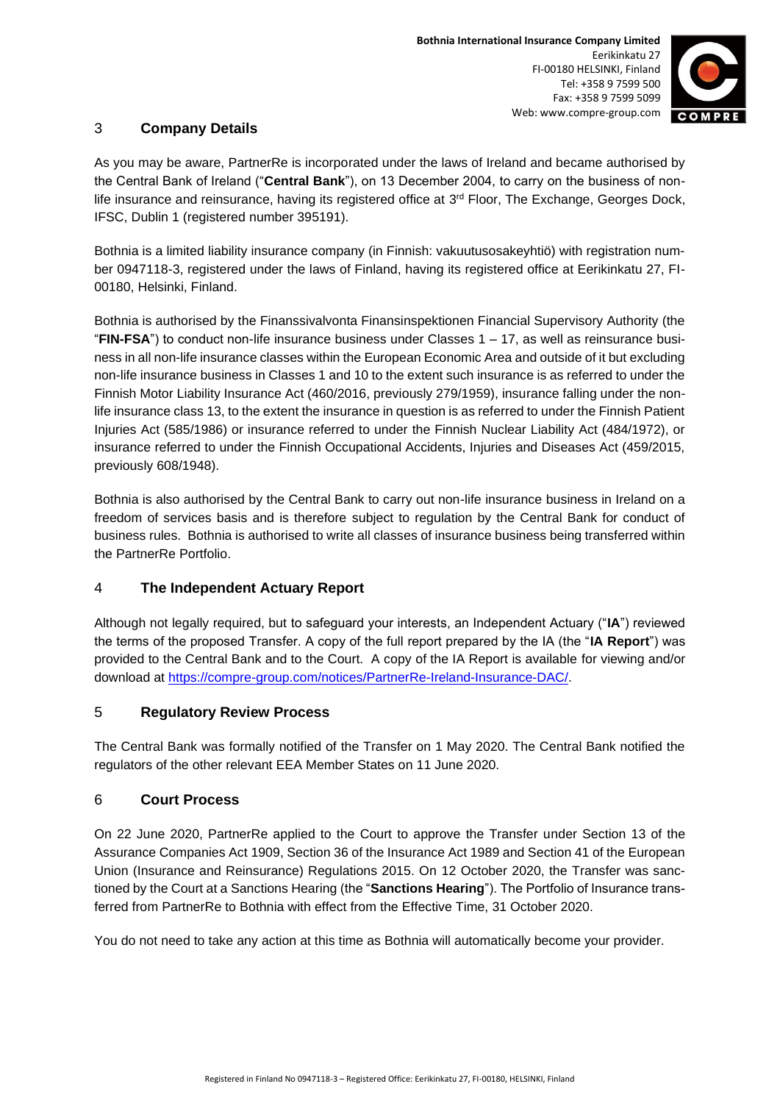

### 3 **Company Details**

As you may be aware, PartnerRe is incorporated under the laws of Ireland and became authorised by the Central Bank of Ireland ("**Central Bank**"), on 13 December 2004, to carry on the business of nonlife insurance and reinsurance, having its registered office at 3<sup>rd</sup> Floor, The Exchange, Georges Dock, IFSC, Dublin 1 (registered number 395191).

Bothnia is a limited liability insurance company (in Finnish: vakuutusosakeyhtiö) with registration number 0947118-3, registered under the laws of Finland, having its registered office at Eerikinkatu 27, FI-00180, Helsinki, Finland.

Bothnia is authorised by the Finanssivalvonta Finansinspektionen Financial Supervisory Authority (the "**FIN-FSA**") to conduct non-life insurance business under Classes 1 – 17, as well as reinsurance business in all non-life insurance classes within the European Economic Area and outside of it but excluding non-life insurance business in Classes 1 and 10 to the extent such insurance is as referred to under the Finnish Motor Liability Insurance Act (460/2016, previously 279/1959), insurance falling under the nonlife insurance class 13, to the extent the insurance in question is as referred to under the Finnish Patient Injuries Act (585/1986) or insurance referred to under the Finnish Nuclear Liability Act (484/1972), or insurance referred to under the Finnish Occupational Accidents, Injuries and Diseases Act (459/2015, previously 608/1948).

Bothnia is also authorised by the Central Bank to carry out non-life insurance business in Ireland on a freedom of services basis and is therefore subject to regulation by the Central Bank for conduct of business rules. Bothnia is authorised to write all classes of insurance business being transferred within the PartnerRe Portfolio.

# 4 **The Independent Actuary Report**

Although not legally required, but to safeguard your interests, an Independent Actuary ("**IA**") reviewed the terms of the proposed Transfer. A copy of the full report prepared by the IA (the "**IA Report**") was provided to the Central Bank and to the Court. A copy of the IA Report is available for viewing and/or download at [https://compre-group.com/notices/PartnerRe-Ireland-Insurance-DAC/.](https://compre-group.com/notices/PartnerRe-Ireland-Insurance-DAC/)

# 5 **Regulatory Review Process**

The Central Bank was formally notified of the Transfer on 1 May 2020. The Central Bank notified the regulators of the other relevant EEA Member States on 11 June 2020.

# 6 **Court Process**

On 22 June 2020, PartnerRe applied to the Court to approve the Transfer under Section 13 of the Assurance Companies Act 1909, Section 36 of the Insurance Act 1989 and Section 41 of the European Union (Insurance and Reinsurance) Regulations 2015. On 12 October 2020, the Transfer was sanctioned by the Court at a Sanctions Hearing (the "**Sanctions Hearing**"). The Portfolio of Insurance transferred from PartnerRe to Bothnia with effect from the Effective Time, 31 October 2020.

You do not need to take any action at this time as Bothnia will automatically become your provider.